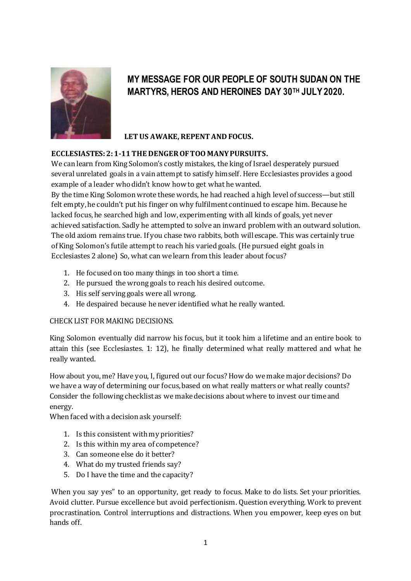

## **MY MESSAGE FOR OUR PEOPLE OF SOUTH SUDAN ON THE MARTYRS, HEROS AND HEROINES DAY 30TH JULY 2020.**

## **LET US AWAKE, REPENT AND FOCUS.**

## **ECCLESIASTES:2: 1-11 THE DENGER OF TOO MANY PURSUITS.**

We can learn from King Solomon's costly mistakes, the king of Israel desperately pursued several unrelated goals in a vain attempt to satisfy himself. Here Ecclesiastes provides a good example of a leader who didn't know how to get what he wanted.

By the time King Solomon wrote these words, he had reached a high level of success—but still felt empty, he couldn't put his finger on why fulfilment continued to escape him. Because he lacked focus, he searched high and low, experimenting with all kinds of goals, yet never achieved satisfaction. Sadly he attempted to solve an inward problem with an outward solution. The old axiom remains true. If you chase two rabbits, both will escape. This was certainly true of King Solomon's futile attempt to reach his varied goals. (He pursued eight goals in Ecclesiastes 2 alone) So, what can we learn from this leader about focus?

- 1. He focused on too many things in too short a time.
- 2. He pursued the wrong goals to reach his desired outcome.
- 3. His self serving goals were all wrong.
- 4. He despaired because he never identified what he really wanted.

## CHECK LIST FOR MAKING DECISIONS.

King Solomon eventually did narrow his focus, but it took him a lifetime and an entire book to attain this (see Ecclesiastes. 1: 12), he finally determined what really mattered and what he really wanted.

How about you, me? Have you, I, figured out our focus? How do we make major decisions? Do we have a way of determining our focus, based on what really matters or what really counts? Consider the following checklist as we make decisions about where to invest our time and energy.

When faced with a decision ask yourself:

- 1. Is this consistent with my priorities?
- 2. Is this within my area of competence?
- 3. Can someone else do it better?
- 4. What do my trusted friends say?
- 5. Do I have the time and the capacity?

When you say yes" to an opportunity, get ready to focus. Make to do lists. Set your priorities. Avoid clutter. Pursue excellence but avoid perfectionism. Question everything. Work to prevent procrastination. Control interruptions and distractions. When you empower, keep eyes on but hands off.